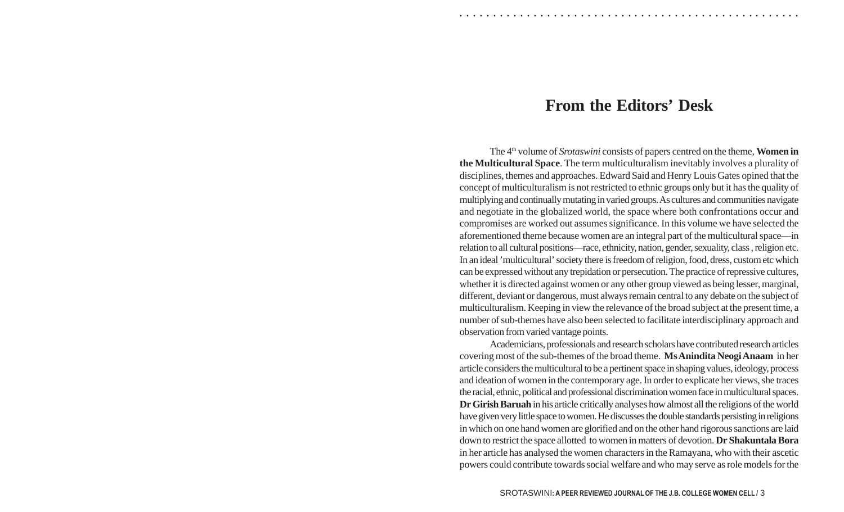## **From the Editors' Desk**

The 4th volume of *Srotaswini* consists of papers centred on the theme, **Women in the Multicultural Space**. The term multiculturalism inevitably involves a plurality of disciplines, themes and approaches. Edward Said and Henry Louis Gates opined that the concept of multiculturalism is not restricted to ethnic groups only but it has the quality of multiplying and continually mutating in varied groups. As cultures and communities navigate and negotiate in the globalized world, the space where both confrontations occur and compromises are worked out assumes significance. In this volume we have selected the aforementioned theme because women are an integral part of the multicultural space—in relation to all cultural positions—race, ethnicity, nation, gender, sexuality, class , religion etc. In an ideal 'multicultural' society there is freedom of religion, food, dress, custom etc which can be expressed without any trepidation or persecution. The practice of repressive cultures, whether it is directed against women or any other group viewed as being lesser, marginal, different, deviant or dangerous, must always remain central to any debate on the subject of multiculturalism. Keeping in view the relevance of the broad subject at the present time, a number of sub-themes have also been selected to facilitate interdisciplinary approach and observation from varied vantage points.

Academicians, professionals and research scholars have contributed research articles covering most of the sub-themes of the broad theme. **Ms Anindita Neogi Anaam** in her article considers the multicultural to be a pertinent space in shaping values, ideology, process and ideation of women in the contemporary age. In order to explicate her views, she traces the racial, ethnic, political and professional discrimination women face in multicultural spaces. **Dr Girish Baruah** in his article critically analyses how almost all the religions of the world have given very little space to women. He discusses the double standards persisting in religions in which on one hand women are glorified and on the other hand rigorous sanctions are laid down to restrict the space allotted to women in matters of devotion. **Dr Shakuntala Bora** in her article has analysed the women characters in the Ramayana, who with their ascetic powers could contribute towards social welfare and who may serve as role models for the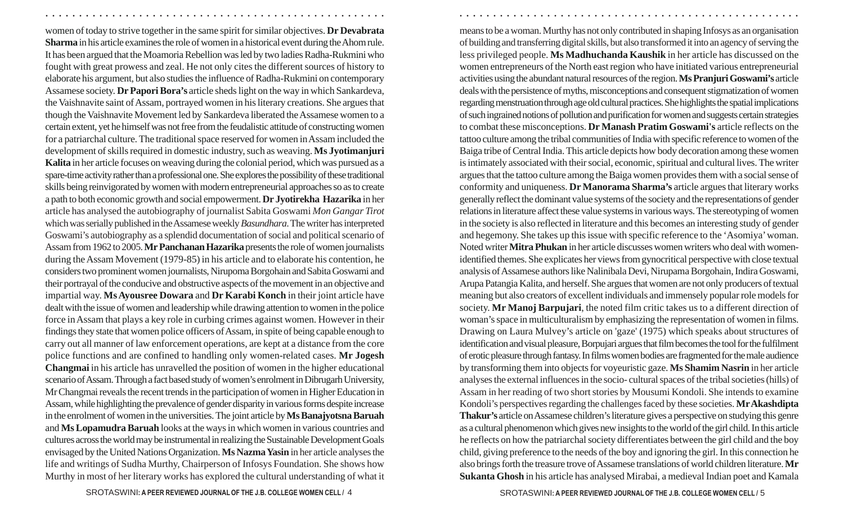women of today to strive together in the same spirit for similar objectives. **Dr Devabrata Sharma** in his article examines the role of women in a historical event during the Ahom rule. It has been argued that the Moamoria Rebellion was led by two ladies Radha-Rukmini who fought with great prowess and zeal. He not only cites the different sources of history to elaborate his argument, but also studies the influence of Radha-Rukmini on contemporary Assamese society. **Dr Papori Bora's** article sheds light on the way in which Sankardeva, the Vaishnavite saint of Assam, portrayed women in his literary creations. She argues that though the Vaishnavite Movement led by Sankardeva liberated the Assamese women to a certain extent, yet he himself was not free from the feudalistic attitude of constructing women for a patriarchal culture. The traditional space reserved for women in Assam included the development of skills required in domestic industry, such as weaving. **Ms Jyotimanjuri Kalita** in her article focuses on weaving during the colonial period, which was pursued as a spare-time activity rather than a professional one. She explores the possibility of these traditional skills being reinvigorated by women with modern entrepreneurial approaches so as to create a path to both economic growth and social empowerment.**Dr Jyotirekha Hazarika** in her article has analysed the autobiography of journalist Sabita Goswami *Mon Gangar Tirot* which was serially published in the Assamese weekly *Basundhara*. The writer has interpreted Goswami's autobiography as a splendid documentation of social and political scenario of Assam from 1962 to 2005. **Mr Panchanan Hazarika** presents the role of women journalists during the Assam Movement (1979-85) in his article and to elaborate his contention, he considers two prominent women journalists, Nirupoma Borgohain and Sabita Goswami and their portrayal of the conducive and obstructive aspects of the movement in an objective and impartial way. **Ms Ayousree Dowara** and **Dr Karabi Konch** in their joint article have dealt with the issue of women and leadership while drawing attention to women in the police force in Assam that plays a key role in curbing crimes against women. However in their findings they state that women police officers of Assam, in spite of being capable enough to carry out all manner of law enforcement operations, are kept at a distance from the core police functions and are confined to handling only women-related cases. **Mr Jogesh Changmai** in his article has unravelled the position of women in the higher educational scenario of Assam. Through a fact based study of women's enrolment in Dibrugarh University, Mr Changmai reveals the recent trends in the participation of women in Higher Education in Assam, while highlighting the prevalence of gender disparity in various forms despite increase in the enrolment of women in the universities. The joint article by **Ms Banajyotsna Baruah** and **Ms Lopamudra Baruah** looks at the ways in which women in various countries and cultures across the world may be instrumental in realizing the Sustainable Development Goals envisaged by the United Nations Organization. **Ms Nazma Yasin** in her article analyses the life and writings of Sudha Murthy, Chairperson of Infosys Foundation. She shows how Murthy in most of her literary works has explored the cultural understanding of what it

○ ○ ○ ○ ○ ○ ○ ○ ○ ○ ○ ○ ○ ○ ○ ○ ○ ○ ○ ○ ○ ○ ○ ○ ○ ○ ○ ○ ○ ○ ○ ○ ○ ○ ○ ○ ○ ○ ○ ○ ○ ○ ○ ○ ○ ○ ○ ○ ○ ○ ○ ○ ○ ○ ○ ○ ○ ○ ○ ○ ○ ○ ○ ○ ○ ○ ○ ○ ○ ○ ○ ○ ○ ○ ○ ○ ○ ○ ○ ○ ○ ○ ○ ○ ○ ○ ○ ○ ○ ○ ○ ○ ○ ○ ○ ○ ○ ○ ○ ○ ○ ○

of building and transferring digital skills, but also transformed it into an agency of serving the less privileged people. **Ms Madhuchanda Kaushik** in her article has discussed on the women entrepreneurs of the North east region who have initiated various entrepreneurial activities using the abundant natural resources of the region. **Ms Pranjuri Goswami's** article deals with the persistence of myths, misconceptions and consequent stigmatization of women regarding menstruation through age old cultural practices. She highlights the spatial implications of such ingrained notions of pollution and purification for women and suggests certain strategies to combat these misconceptions. **Dr Manash Pratim Goswami's** article reflects on the tattoo culture among the tribal communities of India with specific reference to women of the Baiga tribe of Central India. This article depicts how body decoration among these women is intimately associated with their social, economic, spiritual and cultural lives. The writer argues that the tattoo culture among the Baiga women provides them with a social sense of conformity and uniqueness. **Dr Manorama Sharma's** article argues that literary works generally reflect the dominant value systems of the society and the representations of gender relations in literature affect these value systems in various ways. The stereotyping of women in the society is also reflected in literature and this becomes an interesting study of gender and hegemony. She takes up this issue with specific reference to the 'Asomiya' woman. Noted writer **Mitra Phukan** in her article discusses women writers who deal with womenidentified themes. She explicates her views from gynocritical perspective with close textual analysis of Assamese authors like Nalinibala Devi, Nirupama Borgohain, Indira Goswami, Arupa Patangia Kalita, and herself. She argues that women are not only producers of textual meaning but also creators of excellent individuals and immensely popular role models for society. **Mr Manoj Barpujari**, the noted film critic takes us to a different direction of woman's space in multiculturalism by emphasizing the representation of women in films. Drawing on Laura Mulvey's article on 'gaze' (1975) which speaks about structures of identification and visual pleasure, Borpujari argues that film becomes the tool for the fulfilment of erotic pleasure through fantasy. In films women bodies are fragmented for the male audience by transforming them into objects for voyeuristic gaze. **Ms Shamim Nasrin** in her article analyses the external influences in the socio- cultural spaces of the tribal societies (hills) of Assam in her reading of two short stories by Mousumi Kondoli. She intends to examine Kondoli's perspectives regarding the challenges faced by these societies. **MrAkashdipta Thakur's** article on Assamese children's literature gives a perspective on studying this genre as a cultural phenomenon which gives new insights to the world of the girl child. In this article he reflects on how the patriarchal society differentiates between the girl child and the boy child, giving preference to the needs of the boy and ignoring the girl. In this connection he also brings forth the treasure trove of Assamese translations of world children literature. **Mr Sukanta Ghosh** in his article has analysed Mirabai, a medieval Indian poet and Kamala

means to be a woman. Murthy has not only contributed in shaping Infosys as an organisation